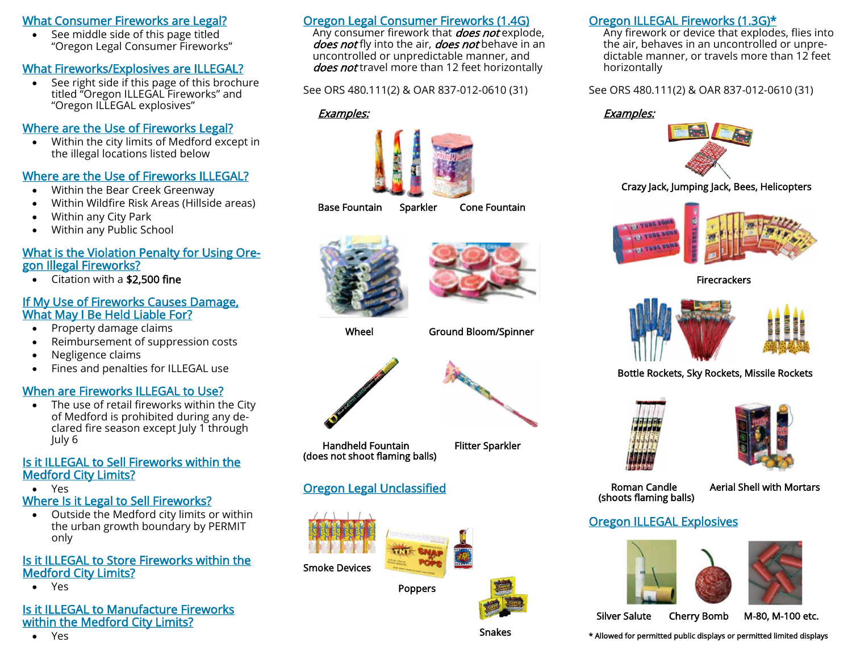### What Consumer Fireworks are Legal?

 See middle side of this page titled "Oregon Legal Consumer Fireworks"

# What Fireworks/Explosives are ILLEGAL?

 See right side if this page of this brochure titled "Oregon ILLEGAL Fireworks" and "Oregon ILLEGAL explosives"

## Where are the Use of Fireworks Legal?

 Within the city limits of Medford except in the illegal locations listed below

## Where are the Use of Fireworks ILLEGAL?

- Within the Bear Creek Greenway
- Within Wildfire Risk Areas (Hillside areas)
- Within any City Park
- Within any Public School

#### What is the Violation Penalty for Using Oregon Illegal Fireworks?

• Citation with a \$2,500 fine

#### If My Use of Fireworks Causes Damage, What May I Be Held Liable For?

- Property damage claims
- Reimbursement of suppression costs
- Negligence claims
- Fines and penalties for ILLEGAL use

# When are Fireworks ILLEGAL to Use?

 The use of retail fireworks within the City of Medford is prohibited during any declared fire season except July 1 through July 6

#### Is it ILLEGAL to Sell Fireworks within the Medford City Limits?

Yes

# Where Is it Legal to Sell Fireworks?

 Outside the Medford city limits or within the urban growth boundary by PERMIT only

## Is it ILLEGAL to Store Fireworks within the Medford City Limits?

Yes

#### Is it ILLEGAL to Manufacture Fireworks within the Medford City Limits?

Yes

# Oregon Legal Consumer Fireworks (1.4G)

Any consumer firework that *does not* explode, does not fly into the air, does not behave in an uncontrolled or unpredictable manner, and does not travel more than 12 feet horizontally

See ORS 480.111(2) & OAR 837-012-0610 (31)

#### Examples:



#### Base Fountain Sparkler Cone Fountain





Wheel Ground Bloom/Spinner



Handheld Fountain Flitter Sparkler (does not shoot flaming balls)



# Oregon Legal Unclassified



Poppers



## Oregon ILLEGAL Fireworks (1.3G)\*

Any firework or device that explodes, flies into the air, behaves in an uncontrolled or unpredictable manner, or travels more than 12 feet horizontally

See ORS 480.111(2) & OAR 837-012-0610 (31)

#### Examples:



Crazy Jack, Jumping Jack, Bees, Helicopters



Firecrackers



Bottle Rockets, Sky Rockets, Missile Rockets



(shoots flaming balls)

Roman Candle Aerial Shell with Mortars

# Oregon ILLEGAL Explosives





Silver Salute Cherry Bomb M-80, M-100 etc.

\* Allowed for permitted public displays or permitted limited displays

Snakes